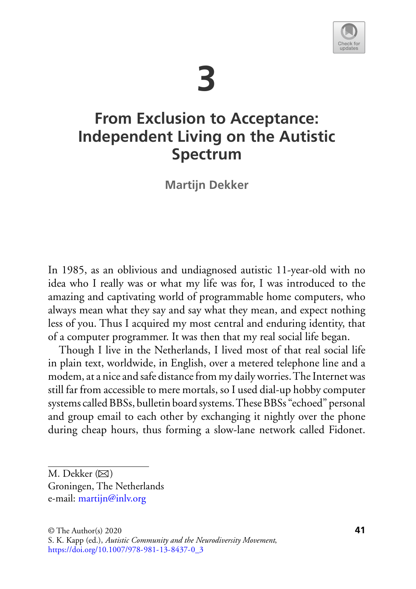

## **3**

## **From Exclusion to Acceptance: Independent Living on the Autistic Spectrum**

**Martijn Dekker**

In 1985, as an oblivious and undiagnosed autistic 11-year-old with no idea who I really was or what my life was for, I was introduced to the amazing and captivating world of programmable home computers, who always mean what they say and say what they mean, and expect nothing less of you. Thus I acquired my most central and enduring identity, that of a computer programmer. It was then that my real social life began.

Though I live in the Netherlands, I lived most of that real social life in plain text, worldwide, in English, over a metered telephone line and a modem, at a nice and safe distance from my daily worries.The Internet was still far from accessible to mere mortals, so I used dial-up hobby computer systems called BBSs, bulletin board systems.These BBSs "echoed" personal and group email to each other by exchanging it nightly over the phone during cheap hours, thus forming a slow-lane network called Fidonet.

M. Dekker  $(\boxtimes)$ Groningen, The Netherlands e-mail: [martijn@inlv.org](mailto:martijn@inlv.org)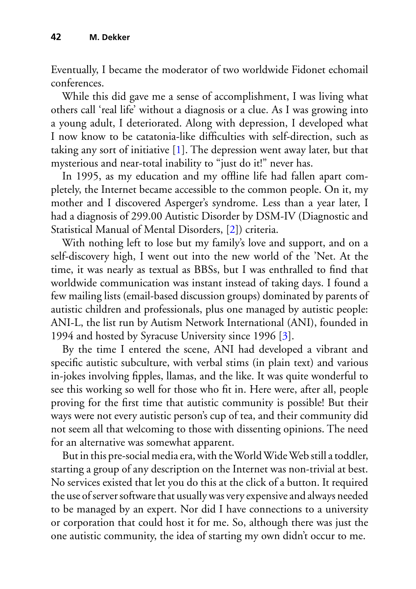Eventually, I became the moderator of two worldwide Fidonet echomail conferences.

While this did gave me a sense of accomplishment, I was living what others call 'real life' without a diagnosis or a clue. As I was growing into a young adult, I deteriorated. Along with depression, I developed what I now know to be catatonia-like difficulties with self-direction, such as taking any sort of initiative [\[1\]](#page-7-0). The depression went away later, but that mysterious and near-total inability to "just do it!" never has.

In 1995, as my education and my offline life had fallen apart completely, the Internet became accessible to the common people. On it, my mother and I discovered Asperger's syndrome. Less than a year later, I had a diagnosis of 299.00 Autistic Disorder by DSM-IV (Diagnostic and Statistical Manual of Mental Disorders, [\[2\]](#page-7-1)) criteria.

With nothing left to lose but my family's love and support, and on a self-discovery high, I went out into the new world of the 'Net. At the time, it was nearly as textual as BBSs, but I was enthralled to find that worldwide communication was instant instead of taking days. I found a few mailing lists (email-based discussion groups) dominated by parents of autistic children and professionals, plus one managed by autistic people: ANI-L, the list run by Autism Network International (ANI), founded in 1994 and hosted by Syracuse University since 1996 [\[3\]](#page-7-2).

By the time I entered the scene, ANI had developed a vibrant and specific autistic subculture, with verbal stims (in plain text) and various in-jokes involving fipples, llamas, and the like. It was quite wonderful to see this working so well for those who fit in. Here were, after all, people proving for the first time that autistic community is possible! But their ways were not every autistic person's cup of tea, and their community did not seem all that welcoming to those with dissenting opinions. The need for an alternative was somewhat apparent.

But in this pre-social media era, with the World Wide Web still a toddler, starting a group of any description on the Internet was non-trivial at best. No services existed that let you do this at the click of a button. It required the use of server software that usually was very expensive and always needed to be managed by an expert. Nor did I have connections to a university or corporation that could host it for me. So, although there was just the one autistic community, the idea of starting my own didn't occur to me.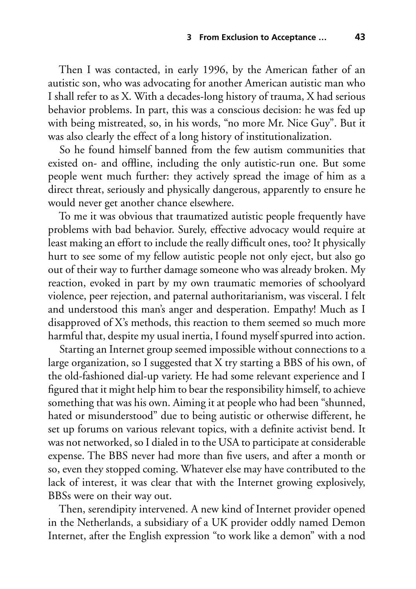Then I was contacted, in early 1996, by the American father of an autistic son, who was advocating for another American autistic man who I shall refer to as X. With a decades-long history of trauma, X had serious behavior problems. In part, this was a conscious decision: he was fed up with being mistreated, so, in his words, "no more Mr. Nice Guy". But it was also clearly the effect of a long history of institutionalization.

So he found himself banned from the few autism communities that existed on- and offline, including the only autistic-run one. But some people went much further: they actively spread the image of him as a direct threat, seriously and physically dangerous, apparently to ensure he would never get another chance elsewhere.

To me it was obvious that traumatized autistic people frequently have problems with bad behavior. Surely, effective advocacy would require at least making an effort to include the really difficult ones, too? It physically hurt to see some of my fellow autistic people not only eject, but also go out of their way to further damage someone who was already broken. My reaction, evoked in part by my own traumatic memories of schoolyard violence, peer rejection, and paternal authoritarianism, was visceral. I felt and understood this man's anger and desperation. Empathy! Much as I disapproved of X's methods, this reaction to them seemed so much more harmful that, despite my usual inertia, I found myself spurred into action.

Starting an Internet group seemed impossible without connections to a large organization, so I suggested that X try starting a BBS of his own, of the old-fashioned dial-up variety. He had some relevant experience and I figured that it might help him to bear the responsibility himself, to achieve something that was his own. Aiming it at people who had been "shunned, hated or misunderstood" due to being autistic or otherwise different, he set up forums on various relevant topics, with a definite activist bend. It was not networked, so I dialed in to the USA to participate at considerable expense. The BBS never had more than five users, and after a month or so, even they stopped coming. Whatever else may have contributed to the lack of interest, it was clear that with the Internet growing explosively, BBSs were on their way out.

Then, serendipity intervened. A new kind of Internet provider opened in the Netherlands, a subsidiary of a UK provider oddly named Demon Internet, after the English expression "to work like a demon" with a nod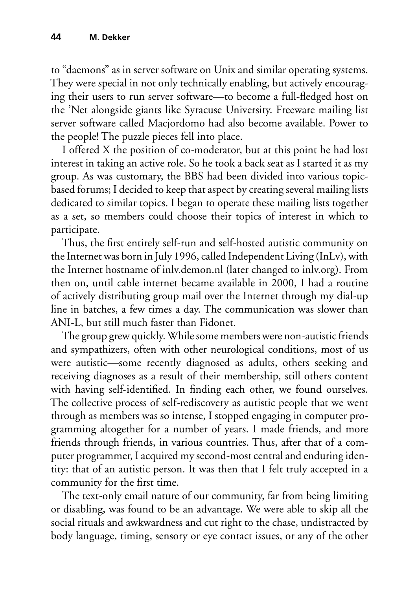to "daemons" as in server software on Unix and similar operating systems. They were special in not only technically enabling, but actively encouraging their users to run server software—to become a full-fledged host on the 'Net alongside giants like Syracuse University. Freeware mailing list server software called Macjordomo had also become available. Power to the people! The puzzle pieces fell into place.

I offered X the position of co-moderator, but at this point he had lost interest in taking an active role. So he took a back seat as I started it as my group. As was customary, the BBS had been divided into various topicbased forums; I decided to keep that aspect by creating several mailing lists dedicated to similar topics. I began to operate these mailing lists together as a set, so members could choose their topics of interest in which to participate.

Thus, the first entirely self-run and self-hosted autistic community on the Internet was born in July 1996, called Independent Living (InLv), with the Internet hostname of inlv.demon.nl (later changed to inlv.org). From then on, until cable internet became available in 2000, I had a routine of actively distributing group mail over the Internet through my dial-up line in batches, a few times a day. The communication was slower than ANI-L, but still much faster than Fidonet.

The group grew quickly.While some members were non-autistic friends and sympathizers, often with other neurological conditions, most of us were autistic—some recently diagnosed as adults, others seeking and receiving diagnoses as a result of their membership, still others content with having self-identified. In finding each other, we found ourselves. The collective process of self-rediscovery as autistic people that we went through as members was so intense, I stopped engaging in computer programming altogether for a number of years. I made friends, and more friends through friends, in various countries. Thus, after that of a computer programmer, I acquired my second-most central and enduring identity: that of an autistic person. It was then that I felt truly accepted in a community for the first time.

The text-only email nature of our community, far from being limiting or disabling, was found to be an advantage. We were able to skip all the social rituals and awkwardness and cut right to the chase, undistracted by body language, timing, sensory or eye contact issues, or any of the other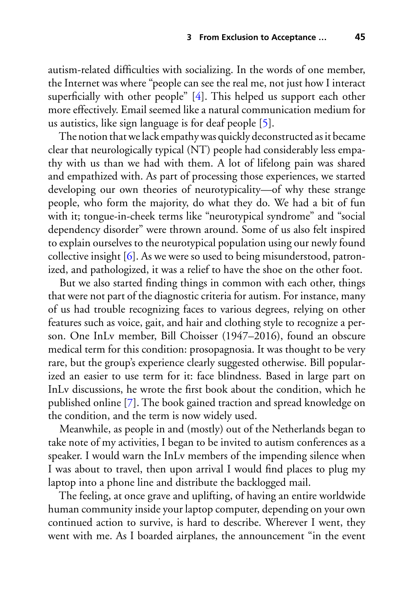autism-related difficulties with socializing. In the words of one member, the Internet was where "people can see the real me, not just how I interact superficially with other people" [\[4\]](#page-7-3). This helped us support each other more effectively. Email seemed like a natural communication medium for us autistics, like sign language is for deaf people [\[5\]](#page-7-4).

The notion that we lack empathy was quickly deconstructed as it became clear that neurologically typical (NT) people had considerably less empathy with us than we had with them. A lot of lifelong pain was shared and empathized with. As part of processing those experiences, we started developing our own theories of neurotypicality—of why these strange people, who form the majority, do what they do. We had a bit of fun with it; tongue-in-cheek terms like "neurotypical syndrome" and "social dependency disorder" were thrown around. Some of us also felt inspired to explain ourselves to the neurotypical population using our newly found collective insight [\[6\]](#page-7-5). As we were so used to being misunderstood, patronized, and pathologized, it was a relief to have the shoe on the other foot.

But we also started finding things in common with each other, things that were not part of the diagnostic criteria for autism. For instance, many of us had trouble recognizing faces to various degrees, relying on other features such as voice, gait, and hair and clothing style to recognize a person. One InLv member, Bill Choisser (1947–2016), found an obscure medical term for this condition: prosopagnosia. It was thought to be very rare, but the group's experience clearly suggested otherwise. Bill popularized an easier to use term for it: face blindness. Based in large part on InLv discussions, he wrote the first book about the condition, which he published online [\[7\]](#page-7-6). The book gained traction and spread knowledge on the condition, and the term is now widely used.

Meanwhile, as people in and (mostly) out of the Netherlands began to take note of my activities, I began to be invited to autism conferences as a speaker. I would warn the InLv members of the impending silence when I was about to travel, then upon arrival I would find places to plug my laptop into a phone line and distribute the backlogged mail.

The feeling, at once grave and uplifting, of having an entire worldwide human community inside your laptop computer, depending on your own continued action to survive, is hard to describe. Wherever I went, they went with me. As I boarded airplanes, the announcement "in the event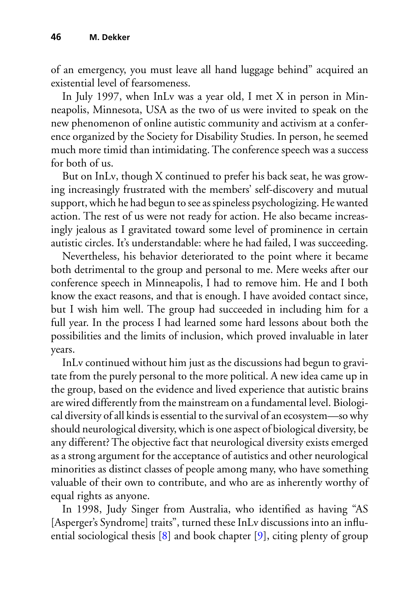of an emergency, you must leave all hand luggage behind" acquired an existential level of fearsomeness.

In July 1997, when InLv was a year old, I met X in person in Minneapolis, Minnesota, USA as the two of us were invited to speak on the new phenomenon of online autistic community and activism at a conference organized by the Society for Disability Studies. In person, he seemed much more timid than intimidating. The conference speech was a success for both of us.

But on InLv, though X continued to prefer his back seat, he was growing increasingly frustrated with the members' self-discovery and mutual support, which he had begun to see as spineless psychologizing. He wanted action. The rest of us were not ready for action. He also became increasingly jealous as I gravitated toward some level of prominence in certain autistic circles. It's understandable: where he had failed, I was succeeding.

Nevertheless, his behavior deteriorated to the point where it became both detrimental to the group and personal to me. Mere weeks after our conference speech in Minneapolis, I had to remove him. He and I both know the exact reasons, and that is enough. I have avoided contact since, but I wish him well. The group had succeeded in including him for a full year. In the process I had learned some hard lessons about both the possibilities and the limits of inclusion, which proved invaluable in later years.

InLv continued without him just as the discussions had begun to gravitate from the purely personal to the more political. A new idea came up in the group, based on the evidence and lived experience that autistic brains are wired differently from the mainstream on a fundamental level. Biological diversity of all kinds is essential to the survival of an ecosystem—so why should neurological diversity, which is one aspect of biological diversity, be any different? The objective fact that neurological diversity exists emerged as a strong argument for the acceptance of autistics and other neurological minorities as distinct classes of people among many, who have something valuable of their own to contribute, and who are as inherently worthy of equal rights as anyone.

In 1998, Judy Singer from Australia, who identified as having "AS [Asperger's Syndrome] traits", turned these InLv discussions into an influential sociological thesis [\[8\]](#page-7-7) and book chapter [\[9\]](#page-8-0), citing plenty of group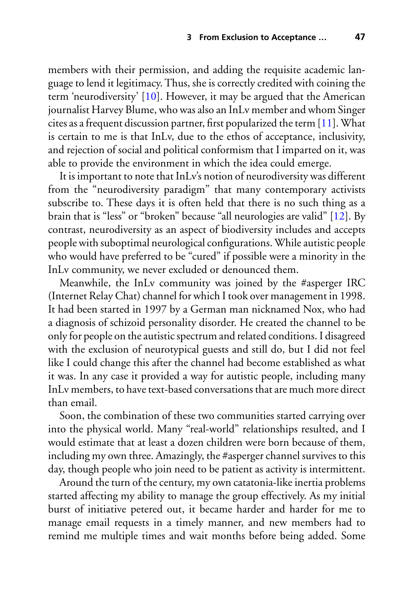members with their permission, and adding the requisite academic language to lend it legitimacy. Thus, she is correctly credited with coining the term 'neurodiversity' [\[10\]](#page-8-1). However, it may be argued that the American journalist Harvey Blume, who was also an InLv member and whom Singer cites as a frequent discussion partner, first popularized the term [\[11\]](#page-8-2).What is certain to me is that InLv, due to the ethos of acceptance, inclusivity, and rejection of social and political conformism that I imparted on it, was able to provide the environment in which the idea could emerge.

It is important to note that InLv's notion of neurodiversity was different from the "neurodiversity paradigm" that many contemporary activists subscribe to. These days it is often held that there is no such thing as a brain that is "less" or "broken" because "all neurologies are valid" [\[12\]](#page-8-3). By contrast, neurodiversity as an aspect of biodiversity includes and accepts people with suboptimal neurological configurations.While autistic people who would have preferred to be "cured" if possible were a minority in the InLv community, we never excluded or denounced them.

Meanwhile, the InLv community was joined by the #asperger IRC (Internet Relay Chat) channel for which I took over management in 1998. It had been started in 1997 by a German man nicknamed Nox, who had a diagnosis of schizoid personality disorder. He created the channel to be only for people on the autistic spectrum and related conditions. I disagreed with the exclusion of neurotypical guests and still do, but I did not feel like I could change this after the channel had become established as what it was. In any case it provided a way for autistic people, including many InLv members, to have text-based conversations that are much more direct than email.

Soon, the combination of these two communities started carrying over into the physical world. Many "real-world" relationships resulted, and I would estimate that at least a dozen children were born because of them, including my own three. Amazingly, the #asperger channel survives to this day, though people who join need to be patient as activity is intermittent.

Around the turn of the century, my own catatonia-like inertia problems started affecting my ability to manage the group effectively. As my initial burst of initiative petered out, it became harder and harder for me to manage email requests in a timely manner, and new members had to remind me multiple times and wait months before being added. Some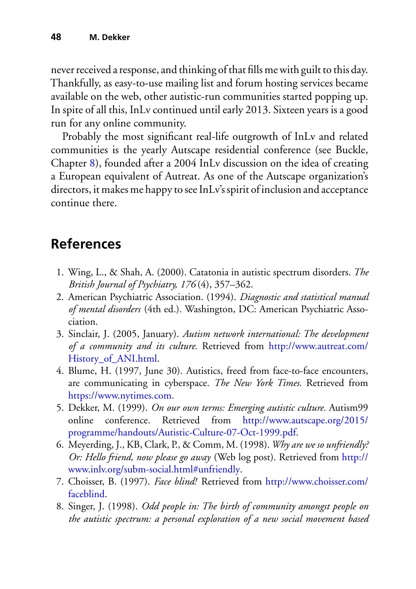never received a response, and thinking of that fills me with guilt to this day. Thankfully, as easy-to-use mailing list and forum hosting services became available on the web, other autistic-run communities started popping up. In spite of all this, InLv continued until early 2013. Sixteen years is a good run for any online community.

Probably the most significant real-life outgrowth of InLv and related communities is the yearly Autscape residential conference (see Buckle, Chapter 8), founded after a 2004 InLv discussion on the idea of creating a European equivalent of Autreat. As one of the Autscape organization's directors, it makes me happy to see InLv's spirit of inclusion and acceptance continue there.

## **References**

- <span id="page-7-0"></span>1. Wing, L., & Shah, A. (2000). Catatonia in autistic spectrum disorders. *The British Journal of Psychiatry, 176* (4), 357–362.
- <span id="page-7-1"></span>2. American Psychiatric Association. (1994). *Diagnostic and statistical manual of mental disorders* (4th ed.). Washington, DC: American Psychiatric Association.
- <span id="page-7-2"></span>3. Sinclair, J. (2005, January). *Autism network international: The development [of a community and its culture](http://www.autreat.com/History_of_ANI.html)*. Retrieved from http://www.autreat.com/ History\_of\_ANI.html.
- <span id="page-7-3"></span>4. Blume, H. (1997, June 30). Autistics, freed from face-to-face encounters, are communicating in cyberspace. *The New York Times*. Retrieved from [https://www.nytimes.com.](https://www.nytimes.com)
- <span id="page-7-4"></span>5. Dekker, M. (1999). *On our own terms: Emerging autistic culture.* Autism99 online conference. Retrieved from http://www.autscape.org/2015/ [programme/handouts/Autistic-Culture-07-Oct-1999.pdf.](http://www.autscape.org/2015/programme/handouts/Autistic-Culture-07-Oct-1999.pdf)
- <span id="page-7-5"></span>6. Meyerding, J., KB, Clark, P., & Comm, M. (1998).*Why are we so unfriendly? Or: Hello friend, now please go away* (Web log post). Retrieved from http:// [www.inlv.org/subm-social.html#unfriendly.](http://www.inlv.org/subm-social.html#unfriendly)
- <span id="page-7-6"></span>7. Choisser, B. (1997). *Face blind!* Retrieved from [http://www.choisser.com/](http://www.choisser.com/faceblind) faceblind.
- <span id="page-7-7"></span>8. Singer, J. (1998). *Odd people in: The birth of community amongst people on the autistic spectrum: a personal exploration of a new social movement based*